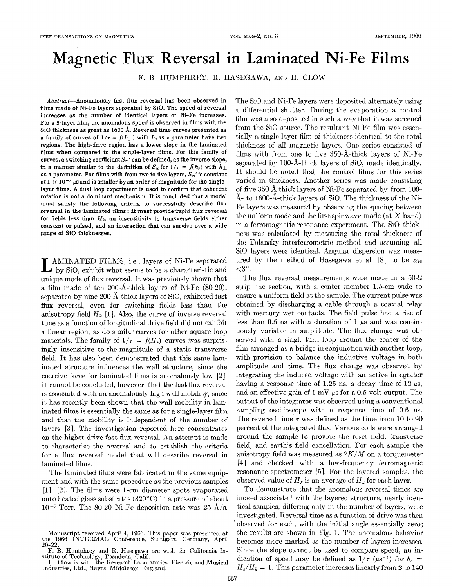## Magnetic Flux Reversal in Laminated Ni-Fe Films

F. B. HUMPHREY. R. HASEGAWA, AND H. CLOW

Abstract-Anomalously fast **flux** reversal has been observed in films made of Ni-Fe layers separated by SiO. The speed of reversal increases as the number of identical layers of Ni-Fe increases. For a 5-layer film, the anomalous speed is observed in films with the Si0 thickness as great as 1600 **A.** Reversal time curves presented as a family of curves of  $1/r = f(h_1)$  with  $h_s$  as a parameter have two regions. The high-drive region has a lower slope in the laminated films when compared to the single-layer films. For this family of curves, a switching coefficient  $S_w'$  can be defined, as the inverse slope, in a manner similar to the definition of  $S_w$  for  $1/\tau = f(h_s)$  with  $h_{\perp}$ as a parameter. For films with from two to five layers,  $S_w$ ' is constant at  $1 \times 10^{-3}$   $\mu$ s and is smaller by an order of magnitude for the singlelayer films. **A** dual loop experiment is used to confirm that coherent rotation **is** not a dominant mechanism. It is concluded that a model must satisfy the following criteria to successfully describe **flux**  reversal in the laminated films : It must provide rapid flux reversal for fields less than  $H_k$ , an insensitivity to transverse fields either constant or pulsed, and **an** interaction that can survive over a wide range **of** Si0 thicknesses.

**L** AMINATED FILMS, i.e., layers of Ni-Fe separated by SiO, exhibit what seems to be a characteristic and unique mode of flux reversal. It was previously shown that a film made of ten 200-A-thick layers of Ni-Fe (SO-20), separated by nine 200-A-thick layers of SiO, exhibited fast flux reversal, even for switching fields less than the anisotropy field  $H_k$  [1]. Also, the curve of inverse reversal time as a function of longitudinal drive field did not exhibit a linear region, as do similar curves for other square loop materials. The family of  $1/\tau = f(H_s)$  curves was surprisingly insensitive to the magnitude of a static transverse field. It has also been demonstrated that this same laminated structure influences the wall structure, since the coercive force for laminated films is anomalously low **[2].**  It cannot be concluded, however, that the fast flux reversal is associated with an anomalously high wall mobility, since it has recently been shown that the wall mobility in laminated films is essentially the same as for a single-layer film and that the mobility is independent of the number of layers [3]. The investigation reported here concentrates on the higher drive fast flux reversal. An attempt is made to characterize the reversal and to establish the criteria for a flux reversal model that will describe reversal in laminated films.

The laminated films were fabricated in the same equipment and with the same procedure asthe previous samples  $[1]$ ,  $[2]$ . The films were 1-cm diameter spots evaporated onto heated glass substrates (320°C) in a pressure of about  $10^{-5}$  Torr. The 80-20 Ni-Fe deposition rate was 25  $\AA$ /s.

The Si0 and Ni-Fe layers were deposited alternately using a differential shutter. During the evaporation a control film was also deposited in such a way that it was screened from the Si0 source. The resultant Ni-Fe film was essentially a single-layer film of thickness identical to the total thickness of all magnetic layers. One series consisted of films with from one to five 350-A-thick layers of Xi-Fe separated by  $100-\text{\AA}-\text{thick}$  layers of SiO, made identically. It should be noted that the control films for this series varied in thickness. Another series was made consisting of five 350 **d** thick layers of Ni-Fe separated by from 100-  $\AA$ - to 1600- $\AA$ -thick layers of SiO. The thickness of the Ni-Fe layers was measured by observing the spacing between the uniform mode and the first spinwave mode (at *X* band) in a ferromagnetic resonance experiment, The Si0 thickness was calculated by measuring the total thickness of the Tolansky interferrometric method and assuming all Si0 layers were identical. Angular dispersion was measured by the method of Hasegawa et al. [8] to be  $\alpha_{90}$  $<$ 3°.

The flux reversal measurements were made in a  $50-\Omega$ strip line section, with a center member 1.5-em wide to ensure a uniform field at the sample. The current pulse was obtained by discharging a cable through a coaxial relay with mercury wet contacts. The field pulse had a rise of less than *0.5* ns with a duration of I *ps* and was continuously variable in amplitude. The flux change was observed with a single-turn loop around the center of the film arranged as a bridge in conjunction with another loop, with provision to balance the inductive voltage in both amplitude and time. The flux change was observed by integrating the induced voltage with an active integrator having a response time of 1.25 ns, a decay time of  $12 \mu s$ , and an effective gain of  $1 \text{ mV}$ - $\mu$ s for a 0.5-volt output. The output of the integrator was observed using a conventional sampling oscilloscope with a response time of 0.6 ns. The reversal time  $\tau$  was defined as the time from 10 to 90 percent of the integrated flux. Various coils were arranged around the sample to provide the reset field, transverse field, and earth's field cancellation. For each sample the anisotropy field was measured as *2K/M* on a torquemeter [4] and checked with alow-frequency ferromagnetic resonance spectrometer [5]. For the layered samples, the observed value of  $H_k$  is an average of  $H_k$  for each layer.

To demonstrate that the anomalous reversal times are indeed associated with the layered structure, nearly identical samples, differing only in the number of layers, were investigated. Reversal time as a function of drive was then observed for each, with the initial angle essentially zero; the results are shown in Fig. 1. The anomalous behavior becomes more marked as the number of layers increases. Since the slope cannot be used to compare speed, an indication of speed may be defined as  $1/\tau$  ( $\mu$ s<sup>-1</sup>) for  $h_s$  =  $H_s/H_k = 1$ . This parameter increases linearly from 2 to 140

Manuscript received April 4, 1966. This paper was presented at the 1966 INTERMAG Conference, Stuttgart, Germany, April *20-22.* 

F. B. Humphrey and R. Hasegawa are with the California Institute of Technology, Pasadena, Calif. H. Clow is with the Research Laboratories, Electric and Musical

Industries, Ltd., Hayes, Middlesex, England.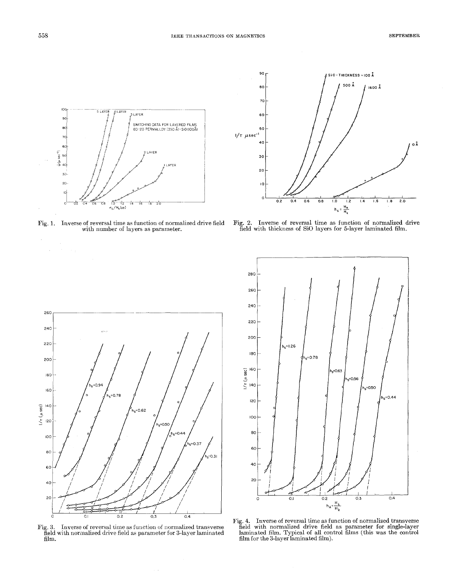



Fig. **1.** Inverse of reversal time as function of normalized drive field with number of layers as parameter.

Fig. 2. Inverse of reversal time as function of normalized drive field with thickness of SiO layers for 5-layer laminated film.



Fig. 3. Inverse of reversal time as function of normalized transverse field with normalized drive field as parameter for 3-layer laminated film. **film for the 3-layer laminated film**).

 $\sim$   $\alpha$ 



**Fig. 4.** Inverse of reversal time as function of normalized transverse field with normalized drive field as parameter for single-layer laminated film. Typical of all control films (this was the control

 $\bar{\gamma}$